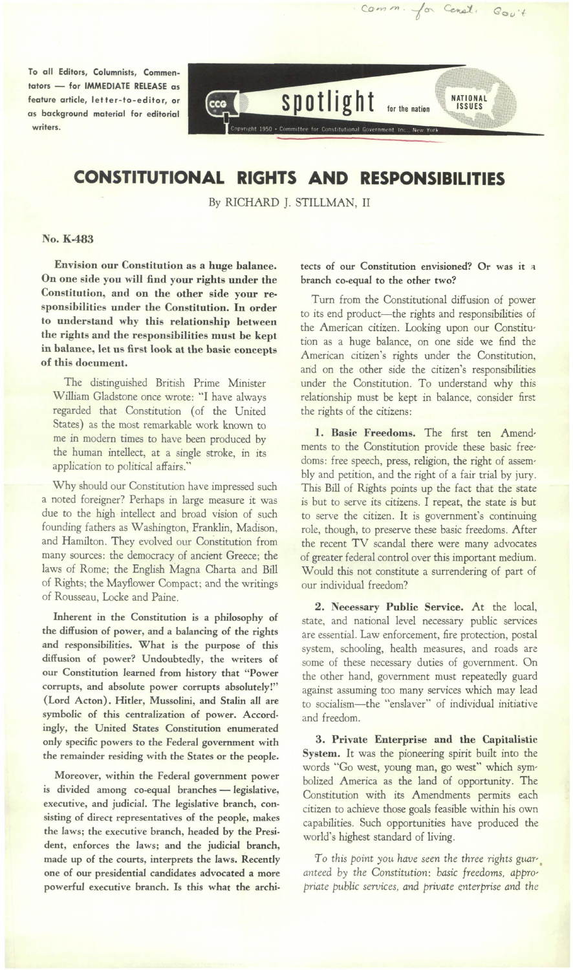To all Editors, Columnists, Commentators - for IMMEDIATE RELEASE as feature article, let fer-to-editor, or as background material for editorial writers.



## **CONSTITUTIONAL RIGHTS AND RESPONSIBILITIES**

By RICHARD]. STILLMAN, II

## No. K-483

Envision our Constitution as a huge balance. On one side you will find your rights under the Constitution, and on the other side your responsibilities under the Constitution. In order to understand why this relationship between the rights and the responsibilities must he kept in balance, let us first look at the basic concepts of this document.

The distinguished British Prime Minister William Gladstone once wrote: "I have always regarded that Constitution (of the United States) as the most remarkable work known to me in modern times to have been produced by the human intellect, at a single stroke, in its application to political affairs."

Why should our Constitution have impressed such a noted foreigner? Perhaps in large measure it was due to the high intellect and broad vision of such founding fathers as Washington, Franklin, Madison, and Hamilton. They evolved our Constitution from many sources: the democracy of ancient Greece; the laws of Rome; the English Magna Charta and Bill of Rights; the Mayflower Compact; and the writings of Rousseau, Locke and Paine.

Inherent in the Constitution is a philosophy of the diffusion of power, and a balancing of the rights and responsibilities. What is the purpose of this diffusion of power? Undoubtedly, the writers of our Constitution learned from history that "Power corrupts, and absolute power corrupts absolutely!" (Lord Acton). Hitler, Mussolini, and Stalin all are symbolic of this centralization of power. Accordingly, the United States Constitution enumerated only specific powers to the Federal government with the remainder residing with the States or the people.

Moreover, within the Federal government power is divided among co-equal branches - legislative, executive, and judicial. The legislative branch, consisting of direct representatives of the people, makes the laws; the executive branch, headed by the President, enforces the laws; and the judicial branch, made up of the courts, interprets the laws. Recently one of our presidential candidates advocated a more powerful executive branch. Is this what the architects of our Constitution envisioned? Or was it a branch co-equal to the other two?

Comm. for Censt. Gov't

Turn from the Constitutional diffusion of power to its end product-the rights and responsibilities of the American citizen. Looking upon our Constitution as a huge balance, on one side we find the American citizen's rights under the Constitution, and on the other side the citizen's responsibilities under the Constitution. To understand why this relationship must be kept in balance, consider first the rights of the citizens:

1. Basic Freedoms. The first ten Amendments to the Constitution provide these basic freedoms: free speech, press, religion, the right of assembly and petition, and the right of a fair trial by jury. This Bill of Rights points up the fact that the state is but to serve its citizens. I repeat, the state is but to serve the citizen. It is government's continuing role, though, to preserve these basic freedoms. After the recent TV scandal there were many advocates of greater federal control over this important medium. Would this not constitute a surrendering of part of our individual freedom?

2. Necessary Public Service. At the local, state, and national level necessary public services are essential. Law enforcement, fire protection, postal system, schooling, health measures, and roads are some of these necessary duties of government. On the other hand, government must repeatedly guard against assuming too many services which may lead to socialism- the "enslaver" of individual initiative and freedom.

3. Private Enterprise and the Capitalistic System. It was the pioneering spirit built into the words "Go west, young man, go west" which symbolized America as the land of opportunity. The Constitution with its Amendments permits each citizen to achieve those goals feasible within his own capabilities. Such opportunities have produced the world's highest standard of living.

To this point you have seen the three rights guar*anteed by the Constitution: basic freedoms, appropriate public services, and private enterprise and the*